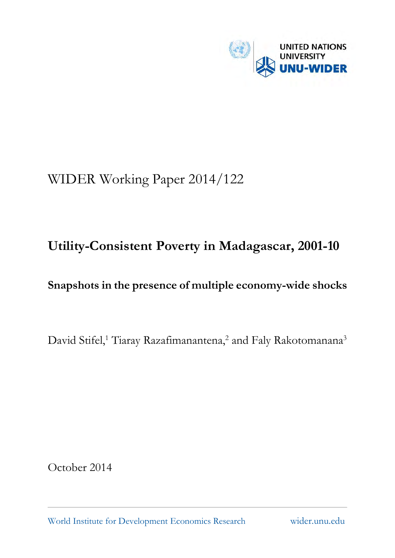

# WIDER Working Paper 2014/122

## **Utility-Consistent Poverty in Madagascar, 2001-10**

## **Snapshots in the presence of multiple economy-wide shocks**

David Stifel,<sup>1</sup> Tiaray Razafimanantena,<sup>2</sup> and Faly Rakotomanana<sup>3</sup>

October 2014

World Institute for Development Economics Research wider.unu.edu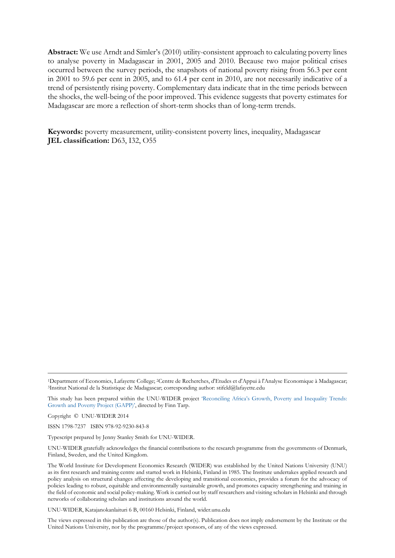**Abstract:** We use Arndt and Simler's (2010) utility-consistent approach to calculating poverty lines to analyse poverty in Madagascar in 2001, 2005 and 2010. Because two major political crises occurred between the survey periods, the snapshots of national poverty rising from 56.3 per cent in 2001 to 59.6 per cent in 2005, and to 61.4 per cent in 2010, are not necessarily indicative of a trend of persistently rising poverty. Complementary data indicate that in the time periods between the shocks, the well-being of the poor improved. This evidence suggests that poverty estimates for Madagascar are more a reflection of short-term shocks than of long-term trends.

**Keywords:** poverty measurement, utility-consistent poverty lines, inequality, Madagascar **JEL classification:** D63, I32, O55

1Department of Economics, Lafayette College; 2Centre de Recherches, d'Etudes et d'Appui à l'Analyse Economique à Madagascar; 3Institut National de la Statistique de Madagascar; corresponding author: stifeld@lafayette.edu

This study has been prepared within the UNU-WIDER project 'Reconciling Africa's Growth, Poverty and Inequality Trends: Growth and Poverty Project (GAPP)', directed by Finn Tarp.

Copyright © UNU-WIDER 2014

ISSN 1798-7237 ISBN 978-92-9230-843-8

Typescript prepared by Jenny Stanley Smith for UNU-WIDER.

UNU-WIDER gratefully acknowledges the financial contributions to the research programme from the governments of Denmark, Finland, Sweden, and the United Kingdom.

The World Institute for Development Economics Research (WIDER) was established by the United Nations University (UNU) as its first research and training centre and started work in Helsinki, Finland in 1985. The Institute undertakes applied research and policy analysis on structural changes affecting the developing and transitional economies, provides a forum for the advocacy of policies leading to robust, equitable and environmentally sustainable growth, and promotes capacity strengthening and training in the field of economic and social policy-making. Work is carried out by staff researchers and visiting scholars in Helsinki and through networks of collaborating scholars and institutions around the world.

UNU-WIDER, Katajanokanlaituri 6 B, 00160 Helsinki, Finland, wider.unu.edu

The views expressed in this publication are those of the author(s). Publication does not imply endorsement by the Institute or the United Nations University, nor by the programme/project sponsors, of any of the views expressed.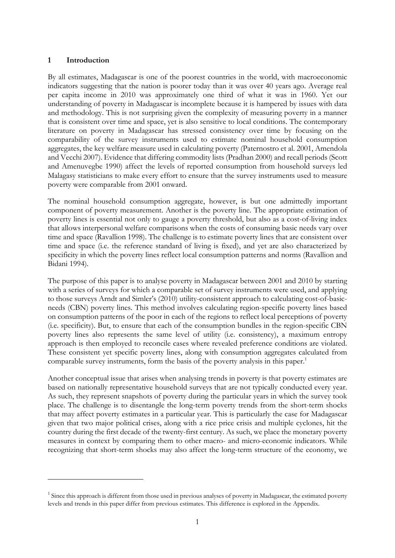#### **1 Introduction**

<u>.</u>

By all estimates, Madagascar is one of the poorest countries in the world, with macroeconomic indicators suggesting that the nation is poorer today than it was over 40 years ago. Average real per capita income in 2010 was approximately one third of what it was in 1960. Yet our understanding of poverty in Madagascar is incomplete because it is hampered by issues with data and methodology. This is not surprising given the complexity of measuring poverty in a manner that is consistent over time and space, yet is also sensitive to local conditions. The contemporary literature on poverty in Madagascar has stressed consistency over time by focusing on the comparability of the survey instruments used to estimate nominal household consumption aggregates, the key welfare measure used in calculating poverty (Paternostro et al. 2001, Amendola and Vecchi 2007). Evidence that differing commodity lists (Pradhan 2000) and recall periods (Scott and Amenuvegbe 1990) affect the levels of reported consumption from household surveys led Malagasy statisticians to make every effort to ensure that the survey instruments used to measure poverty were comparable from 2001 onward.

The nominal household consumption aggregate, however, is but one admittedly important component of poverty measurement. Another is the poverty line. The appropriate estimation of poverty lines is essential not only to gauge a poverty threshold, but also as a cost-of-living index that allows interpersonal welfare comparisons when the costs of consuming basic needs vary over time and space (Ravallion 1998). The challenge is to estimate poverty lines that are consistent over time and space (i.e. the reference standard of living is fixed), and yet are also characterized by specificity in which the poverty lines reflect local consumption patterns and norms (Ravallion and Bidani 1994).

The purpose of this paper is to analyse poverty in Madagascar between 2001 and 2010 by starting with a series of surveys for which a comparable set of survey instruments were used, and applying to those surveys Arndt and Simler's (2010) utility-consistent approach to calculating cost-of-basicneeds (CBN) poverty lines. This method involves calculating region-specific poverty lines based on consumption patterns of the poor in each of the regions to reflect local perceptions of poverty (i.e. specificity). But, to ensure that each of the consumption bundles in the region-specific CBN poverty lines also represents the same level of utility (i.e. consistency), a maximum entropy approach is then employed to reconcile cases where revealed preference conditions are violated. These consistent yet specific poverty lines, along with consumption aggregates calculated from comparable survey instruments, form the basis of the poverty analysis in this paper.<sup>1</sup>

Another conceptual issue that arises when analysing trends in poverty is that poverty estimates are based on nationally representative household surveys that are not typically conducted every year. As such, they represent snapshots of poverty during the particular years in which the survey took place. The challenge is to disentangle the long-term poverty trends from the short-term shocks that may affect poverty estimates in a particular year. This is particularly the case for Madagascar given that two major political crises, along with a rice price crisis and multiple cyclones, hit the country during the first decade of the twenty-first century. As such, we place the monetary poverty measures in context by comparing them to other macro- and micro-economic indicators. While recognizing that short-term shocks may also affect the long-term structure of the economy, we

 $1$  Since this approach is different from those used in previous analyses of poverty in Madagascar, the estimated poverty levels and trends in this paper differ from previous estimates. This difference is explored in the Appendix.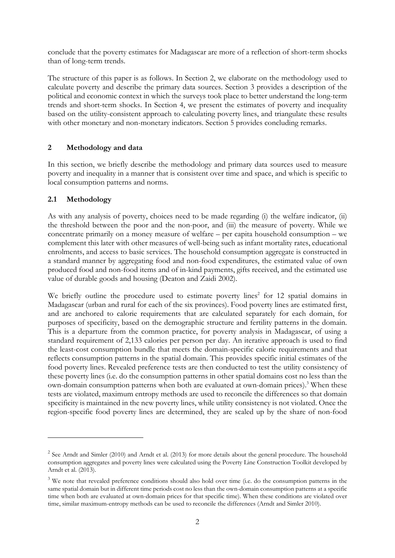conclude that the poverty estimates for Madagascar are more of a reflection of short-term shocks than of long-term trends.

The structure of this paper is as follows. In Section 2, we elaborate on the methodology used to calculate poverty and describe the primary data sources. Section 3 provides a description of the political and economic context in which the surveys took place to better understand the long-term trends and short-term shocks. In Section 4, we present the estimates of poverty and inequality based on the utility-consistent approach to calculating poverty lines, and triangulate these results with other monetary and non-monetary indicators. Section 5 provides concluding remarks.

## **2 Methodology and data**

In this section, we briefly describe the methodology and primary data sources used to measure poverty and inequality in a manner that is consistent over time and space, and which is specific to local consumption patterns and norms.

## **2.1 Methodology**

-

As with any analysis of poverty, choices need to be made regarding (i) the welfare indicator, (ii) the threshold between the poor and the non-poor, and (iii) the measure of poverty. While we concentrate primarily on a money measure of welfare – per capita household consumption – we complement this later with other measures of well-being such as infant mortality rates, educational enrolments, and access to basic services. The household consumption aggregate is constructed in a standard manner by aggregating food and non-food expenditures, the estimated value of own produced food and non-food items and of in-kind payments, gifts received, and the estimated use value of durable goods and housing (Deaton and Zaidi 2002).

We briefly outline the procedure used to estimate poverty lines<sup>2</sup> for 12 spatial domains in Madagascar (urban and rural for each of the six provinces). Food poverty lines are estimated first, and are anchored to calorie requirements that are calculated separately for each domain, for purposes of specificity, based on the demographic structure and fertility patterns in the domain. This is a departure from the common practice, for poverty analysis in Madagascar, of using a standard requirement of 2,133 calories per person per day. An iterative approach is used to find the least-cost consumption bundle that meets the domain-specific calorie requirements and that reflects consumption patterns in the spatial domain. This provides specific initial estimates of the food poverty lines. Revealed preference tests are then conducted to test the utility consistency of these poverty lines (i.e. do the consumption patterns in other spatial domains cost no less than the own-domain consumption patterns when both are evaluated at own-domain prices).<sup>3</sup> When these tests are violated, maximum entropy methods are used to reconcile the differences so that domain specificity is maintained in the new poverty lines, while utility consistency is not violated. Once the region-specific food poverty lines are determined, they are scaled up by the share of non-food

 $2^{2}$  See Arndt and Simler (2010) and Arndt et al. (2013) for more details about the general procedure. The household consumption aggregates and poverty lines were calculated using the Poverty Line Construction Toolkit developed by Arndt et al. (2013).

<sup>&</sup>lt;sup>3</sup> We note that revealed preference conditions should also hold over time (i.e. do the consumption patterns in the same spatial domain but in different time periods cost no less than the own-domain consumption patterns at a specific time when both are evaluated at own-domain prices for that specific time). When these conditions are violated over time, similar maximum-entropy methods can be used to reconcile the differences (Arndt and Simler 2010).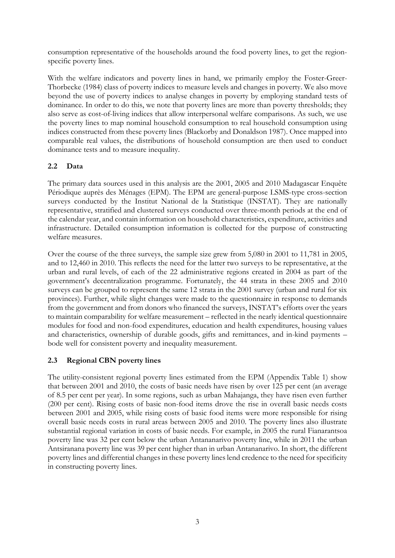consumption representative of the households around the food poverty lines, to get the regionspecific poverty lines.

With the welfare indicators and poverty lines in hand, we primarily employ the Foster-Greer-Thorbecke (1984) class of poverty indices to measure levels and changes in poverty. We also move beyond the use of poverty indices to analyse changes in poverty by employing standard tests of dominance. In order to do this, we note that poverty lines are more than poverty thresholds; they also serve as cost-of-living indices that allow interpersonal welfare comparisons. As such, we use the poverty lines to map nominal household consumption to real household consumption using indices constructed from these poverty lines (Blackorby and Donaldson 1987). Once mapped into comparable real values, the distributions of household consumption are then used to conduct dominance tests and to measure inequality.

## **2.2 Data**

The primary data sources used in this analysis are the 2001, 2005 and 2010 Madagascar Enquête Périodique auprès des Ménages (EPM). The EPM are general-purpose LSMS-type cross-section surveys conducted by the Institut National de la Statistique (INSTAT). They are nationally representative, stratified and clustered surveys conducted over three-month periods at the end of the calendar year, and contain information on household characteristics, expenditure, activities and infrastructure. Detailed consumption information is collected for the purpose of constructing welfare measures.

Over the course of the three surveys, the sample size grew from 5,080 in 2001 to 11,781 in 2005, and to 12,460 in 2010. This reflects the need for the latter two surveys to be representative, at the urban and rural levels, of each of the 22 administrative regions created in 2004 as part of the government's decentralization programme. Fortunately, the 44 strata in these 2005 and 2010 surveys can be grouped to represent the same 12 strata in the 2001 survey (urban and rural for six provinces). Further, while slight changes were made to the questionnaire in response to demands from the government and from donors who financed the surveys, INSTAT's efforts over the years to maintain comparability for welfare measurement – reflected in the nearly identical questionnaire modules for food and non-food expenditures, education and health expenditures, housing values and characteristics, ownership of durable goods, gifts and remittances, and in-kind payments – bode well for consistent poverty and inequality measurement.

## **2.3 Regional CBN poverty lines**

The utility-consistent regional poverty lines estimated from the EPM (Appendix Table 1) show that between 2001 and 2010, the costs of basic needs have risen by over 125 per cent (an average of 8.5 per cent per year). In some regions, such as urban Mahajanga, they have risen even further (200 per cent). Rising costs of basic non-food items drove the rise in overall basic needs costs between 2001 and 2005, while rising costs of basic food items were more responsible for rising overall basic needs costs in rural areas between 2005 and 2010. The poverty lines also illustrate substantial regional variation in costs of basic needs. For example, in 2005 the rural Fianarantsoa poverty line was 32 per cent below the urban Antananarivo poverty line, while in 2011 the urban Antsiranana poverty line was 39 per cent higher than in urban Antananarivo. In short, the different poverty lines and differential changes in these poverty lines lend credence to the need for specificity in constructing poverty lines.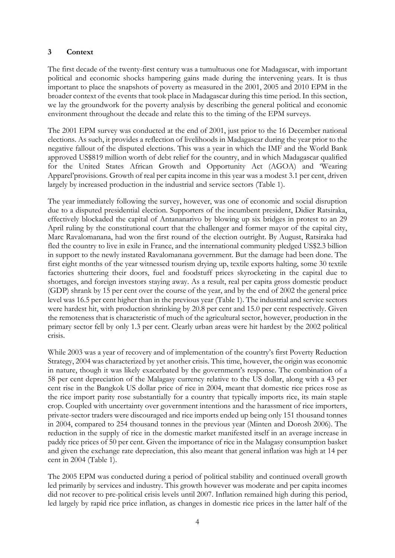## **3 Context**

The first decade of the twenty-first century was a tumultuous one for Madagascar, with important political and economic shocks hampering gains made during the intervening years. It is thus important to place the snapshots of poverty as measured in the 2001, 2005 and 2010 EPM in the broader context of the events that took place in Madagascar during this time period. In this section, we lay the groundwork for the poverty analysis by describing the general political and economic environment throughout the decade and relate this to the timing of the EPM surveys.

The 2001 EPM survey was conducted at the end of 2001, just prior to the 16 December national elections. As such, it provides a reflection of livelihoods in Madagascar during the year prior to the negative fallout of the disputed elections. This was a year in which the IMF and the World Bank approved US\$819 million worth of debt relief for the country, and in which Madagascar qualified for the United States African Growth and Opportunity Act (AGOA) and 'Wearing Apparel'provisions. Growth of real per capita income in this year was a modest 3.1 per cent, driven largely by increased production in the industrial and service sectors (Table 1).

The year immediately following the survey, however, was one of economic and social disruption due to a disputed presidential election. Supporters of the incumbent president, Didier Ratsiraka, effectively blockaded the capital of Antananarivo by blowing up six bridges in protest to an 29 April ruling by the constitutional court that the challenger and former mayor of the capital city, Marc Ravalomanana, had won the first round of the election outright. By August, Ratsiraka had fled the country to live in exile in France, and the international community pledged US\$2.3 billion in support to the newly instated Ravalomanana government. But the damage had been done. The first eight months of the year witnessed tourism drying up, textile exports halting, some 30 textile factories shuttering their doors, fuel and foodstuff prices skyrocketing in the capital due to shortages, and foreign investors staying away. As a result, real per capita gross domestic product (GDP) shrank by 15 per cent over the course of the year, and by the end of 2002 the general price level was 16.5 per cent higher than in the previous year (Table 1). The industrial and service sectors were hardest hit, with production shrinking by 20.8 per cent and 15.0 per cent respectively. Given the remoteness that is characteristic of much of the agricultural sector, however, production in the primary sector fell by only 1.3 per cent. Clearly urban areas were hit hardest by the 2002 political crisis.

While 2003 was a year of recovery and of implementation of the country's first Poverty Reduction Strategy, 2004 was characterized by yet another crisis. This time, however, the origin was economic in nature, though it was likely exacerbated by the government's response. The combination of a 58 per cent depreciation of the Malagasy currency relative to the US dollar, along with a 43 per cent rise in the Bangkok US dollar price of rice in 2004, meant that domestic rice prices rose as the rice import parity rose substantially for a country that typically imports rice, its main staple crop. Coupled with uncertainty over government intentions and the harassment of rice importers, private-sector traders were discouraged and rice imports ended up being only 151 thousand tonnes in 2004, compared to 254 thousand tonnes in the previous year (Minten and Dorosh 2006). The reduction in the supply of rice in the domestic market manifested itself in an average increase in paddy rice prices of 50 per cent. Given the importance of rice in the Malagasy consumption basket and given the exchange rate depreciation, this also meant that general inflation was high at 14 per cent in 2004 (Table 1).

The 2005 EPM was conducted during a period of political stability and continued overall growth led primarily by services and industry. This growth however was moderate and per capita incomes did not recover to pre-political crisis levels until 2007. Inflation remained high during this period, led largely by rapid rice price inflation, as changes in domestic rice prices in the latter half of the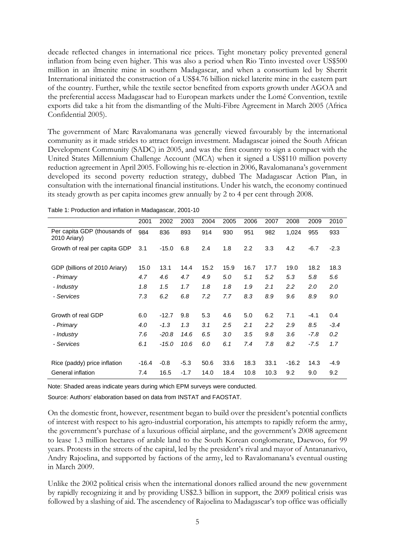decade reflected changes in international rice prices. Tight monetary policy prevented general inflation from being even higher. This was also a period when Rio Tinto invested over US\$500 million in an ilmenite mine in southern Madagascar, and when a consortium led by Sherrit International initiated the construction of a US\$4.76 billion nickel laterite mine in the eastern part of the country. Further, while the textile sector benefited from exports growth under AGOA and the preferential access Madagascar had to European markets under the Lomé Convention, textile exports did take a hit from the dismantling of the Multi-Fibre Agreement in March 2005 (Africa Confidential 2005).

The government of Marc Ravalomanana was generally viewed favourably by the international community as it made strides to attract foreign investment. Madagascar joined the South African Development Community (SADC) in 2005, and was the first country to sign a compact with the United States Millennium Challenge Account (MCA) when it signed a US\$110 million poverty reduction agreement in April 2005. Following his re-election in 2006, Ravalomanana's government developed its second poverty reduction strategy, dubbed The Madagascar Action Plan, in consultation with the international financial institutions. Under his watch, the economy continued its steady growth as per capita incomes grew annually by 2 to 4 per cent through 2008.

|                                              | 2001    | 2002    | 2003   | 2004 | 2005 | 2006 | 2007 | 2008    | 2009   | 2010   |
|----------------------------------------------|---------|---------|--------|------|------|------|------|---------|--------|--------|
| Per capita GDP (thousands of<br>2010 Ariary) | 984     | 836     | 893    | 914  | 930  | 951  | 982  | 1,024   | 955    | 933    |
| Growth of real per capita GDP                | 3.1     | $-15.0$ | 6.8    | 2.4  | 1.8  | 2.2  | 3.3  | 4.2     | $-6.7$ | $-2.3$ |
| GDP (billions of 2010 Ariary)                | 15.0    | 13.1    | 14.4   | 15.2 | 15.9 | 16.7 | 17.7 | 19.0    | 18.2   | 18.3   |
| - Primary                                    | 4.7     | 4.6     | 4.7    | 4.9  | 5.0  | 5.1  | 5.2  | 5.3     | 5.8    | 5.6    |
| - Industry                                   | 1.8     | 1.5     | 1.7    | 1.8  | 1.8  | 1.9  | 2.1  | $2.2\,$ | 2.0    | 2.0    |
| - Services                                   | 7.3     | 6.2     | 6.8    | 7.2  | 7.7  | 8.3  | 8.9  | 9.6     | 8.9    | 9.0    |
|                                              |         |         |        |      |      |      |      |         |        |        |
| Growth of real GDP                           | 6.0     | $-12.7$ | 9.8    | 5.3  | 4.6  | 5.0  | 6.2  | 7.1     | $-4.1$ | 0.4    |
| - Primary                                    | 4.0     | $-1.3$  | 1.3    | 3.1  | 2.5  | 2.1  | 2.2  | 2.9     | 8.5    | $-3.4$ |
| - Industry                                   | 7.6     | $-20.8$ | 14.6   | 6.5  | 3.0  | 3.5  | 9.8  | 3.6     | $-7.8$ | 0.2    |
| - Services                                   | 6.1     | $-15.0$ | 10.6   | 6.0  | 6.1  | 7.4  | 7.8  | 8.2     | $-7.5$ | 1.7    |
|                                              |         |         |        |      |      |      |      |         |        |        |
| Rice (paddy) price inflation                 | $-16.4$ | $-0.8$  | $-5.3$ | 50.6 | 33.6 | 18.3 | 33.1 | $-16.2$ | 14.3   | $-4.9$ |
| General inflation                            | 7.4     | 16.5    | $-1.7$ | 14.0 | 18.4 | 10.8 | 10.3 | 9.2     | 9.0    | 9.2    |

Table 1: Production and inflation in Madagascar, 2001-10

Note: Shaded areas indicate years during which EPM surveys were conducted.

Source: Authors' elaboration based on data from INSTAT and FAOSTAT.

On the domestic front, however, resentment began to build over the president's potential conflicts of interest with respect to his agro-industrial corporation, his attempts to rapidly reform the army, the government's purchase of a luxurious official airplane, and the government's 2008 agreement to lease 1.3 million hectares of arable land to the South Korean conglomerate, Daewoo, for 99 years. Protests in the streets of the capital, led by the president's rival and mayor of Antananarivo, Andry Rajoelina, and supported by factions of the army, led to Ravalomanana's eventual ousting in March 2009.

Unlike the 2002 political crisis when the international donors rallied around the new government by rapidly recognizing it and by providing US\$2.3 billion in support, the 2009 political crisis was followed by a slashing of aid. The ascendency of Rajoelina to Madagascar's top office was officially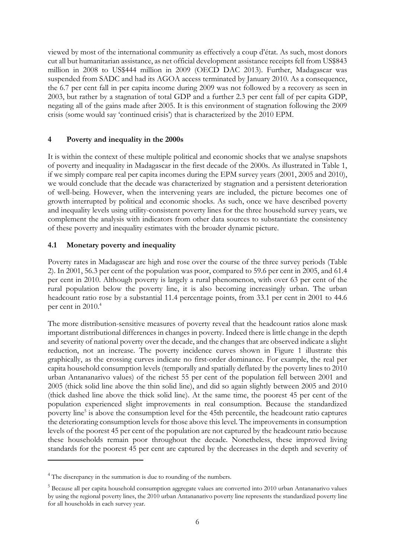viewed by most of the international community as effectively a coup d'état. As such, most donors cut all but humanitarian assistance, as net official development assistance receipts fell from US\$843 million in 2008 to US\$444 million in 2009 (OECD DAC 2013). Further, Madagascar was suspended from SADC and had its AGOA access terminated by January 2010. As a consequence, the 6.7 per cent fall in per capita income during 2009 was not followed by a recovery as seen in 2003, but rather by a stagnation of total GDP and a further 2.3 per cent fall of per capita GDP, negating all of the gains made after 2005. It is this environment of stagnation following the 2009 crisis (some would say 'continued crisis') that is characterized by the 2010 EPM.

## **4 Poverty and inequality in the 2000s**

It is within the context of these multiple political and economic shocks that we analyse snapshots of poverty and inequality in Madagascar in the first decade of the 2000s. As illustrated in Table 1, if we simply compare real per capita incomes during the EPM survey years (2001, 2005 and 2010), we would conclude that the decade was characterized by stagnation and a persistent deterioration of well-being. However, when the intervening years are included, the picture becomes one of growth interrupted by political and economic shocks. As such, once we have described poverty and inequality levels using utility-consistent poverty lines for the three household survey years, we complement the analysis with indicators from other data sources to substantiate the consistency of these poverty and inequality estimates with the broader dynamic picture.

## **4.1 Monetary poverty and inequality**

Poverty rates in Madagascar are high and rose over the course of the three survey periods (Table 2). In 2001, 56.3 per cent of the population was poor, compared to 59.6 per cent in 2005, and 61.4 per cent in 2010. Although poverty is largely a rural phenomenon, with over 63 per cent of the rural population below the poverty line, it is also becoming increasingly urban. The urban headcount ratio rose by a substantial 11.4 percentage points, from 33.1 per cent in 2001 to 44.6 per cent in 2010.<sup>4</sup>

The more distribution-sensitive measures of poverty reveal that the headcount ratios alone mask important distributional differences in changes in poverty. Indeed there is little change in the depth and severity of national poverty over the decade, and the changes that are observed indicate a slight reduction, not an increase. The poverty incidence curves shown in Figure 1 illustrate this graphically, as the crossing curves indicate no first-order dominance. For example, the real per capita household consumption levels (temporally and spatially deflated by the poverty lines to 2010 urban Antananarivo values) of the richest 55 per cent of the population fell between 2001 and 2005 (thick solid line above the thin solid line), and did so again slightly between 2005 and 2010 (thick dashed line above the thick solid line). At the same time, the poorest 45 per cent of the population experienced slight improvements in real consumption. Because the standardized poverty line<sup>5</sup> is above the consumption level for the 45th percentile, the headcount ratio captures the deteriorating consumption levels for those above this level. The improvements in consumption levels of the poorest 45 per cent of the population are not captured by the headcount ratio because these households remain poor throughout the decade. Nonetheless, these improved living standards for the poorest 45 per cent are captured by the decreases in the depth and severity of

-

<sup>&</sup>lt;sup>4</sup> The discrepancy in the summation is due to rounding of the numbers.

<sup>&</sup>lt;sup>5</sup> Because all per capita household consumption aggregate values are converted into 2010 urban Antananarivo values by using the regional poverty lines, the 2010 urban Antananarivo poverty line represents the standardized poverty line for all households in each survey year.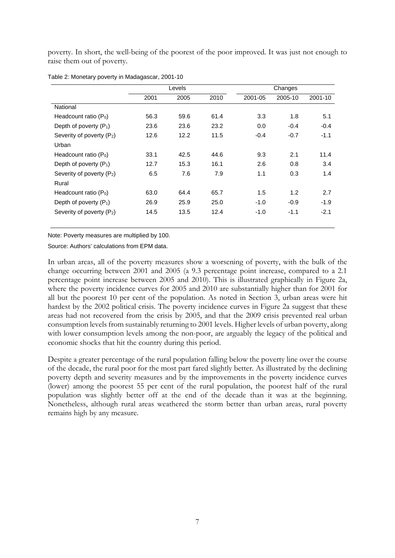poverty. In short, the well-being of the poorest of the poor improved. It was just not enough to raise them out of poverty.

|                                       |      | Levels |      |         | Changes |         |
|---------------------------------------|------|--------|------|---------|---------|---------|
|                                       | 2001 | 2005   | 2010 | 2001-05 | 2005-10 | 2001-10 |
| National                              |      |        |      |         |         |         |
| Headcount ratio $(P_0)$               | 56.3 | 59.6   | 61.4 | 3.3     | 1.8     | 5.1     |
| Depth of poverty $(P_1)$              | 23.6 | 23.6   | 23.2 | 0.0     | $-0.4$  | $-0.4$  |
| Severity of poverty (P <sub>2</sub> ) | 12.6 | 12.2   | 11.5 | $-0.4$  | $-0.7$  | $-1.1$  |
| Urban                                 |      |        |      |         |         |         |
| Headcount ratio (P <sub>0</sub> )     | 33.1 | 42.5   | 44.6 | 9.3     | 2.1     | 11.4    |
| Depth of poverty $(P_1)$              | 12.7 | 15.3   | 16.1 | 2.6     | 0.8     | 3.4     |
| Severity of poverty (P <sub>2</sub> ) | 6.5  | 7.6    | 7.9  | 1.1     | 0.3     | 1.4     |
| Rural                                 |      |        |      |         |         |         |
| Headcount ratio $(P_0)$               | 63.0 | 64.4   | 65.7 | 1.5     | 1.2     | 2.7     |
| Depth of poverty $(P_1)$              | 26.9 | 25.9   | 25.0 | $-1.0$  | $-0.9$  | $-1.9$  |
| Severity of poverty (P <sub>2</sub> ) | 14.5 | 13.5   | 12.4 | $-1.0$  | $-1.1$  | $-2.1$  |

Table 2: Monetary poverty in Madagascar, 2001-10

Note: Poverty measures are multiplied by 100.

Source: Authors' calculations from EPM data.

In urban areas, all of the poverty measures show a worsening of poverty, with the bulk of the change occurring between 2001 and 2005 (a 9.3 percentage point increase, compared to a 2.1 percentage point increase between 2005 and 2010). This is illustrated graphically in Figure 2a, where the poverty incidence curves for 2005 and 2010 are substantially higher than for 2001 for all but the poorest 10 per cent of the population. As noted in Section 3, urban areas were hit hardest by the 2002 political crisis. The poverty incidence curves in Figure 2a suggest that these areas had not recovered from the crisis by 2005, and that the 2009 crisis prevented real urban consumption levels from sustainably returning to 2001 levels. Higher levels of urban poverty, along with lower consumption levels among the non-poor, are arguably the legacy of the political and economic shocks that hit the country during this period.

Despite a greater percentage of the rural population falling below the poverty line over the course of the decade, the rural poor for the most part fared slightly better. As illustrated by the declining poverty depth and severity measures and by the improvements in the poverty incidence curves (lower) among the poorest 55 per cent of the rural population, the poorest half of the rural population was slightly better off at the end of the decade than it was at the beginning. Nonetheless, although rural areas weathered the storm better than urban areas, rural poverty remains high by any measure.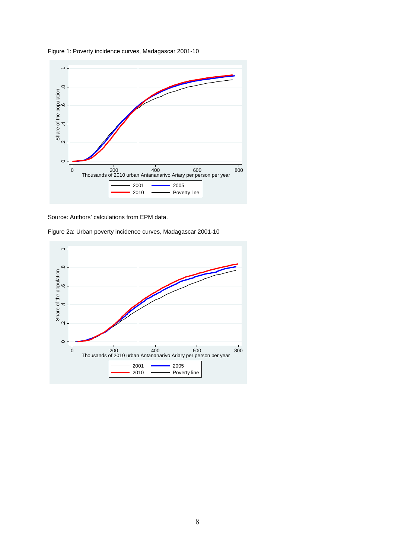





Figure 2a: Urban poverty incidence curves, Madagascar 2001-10

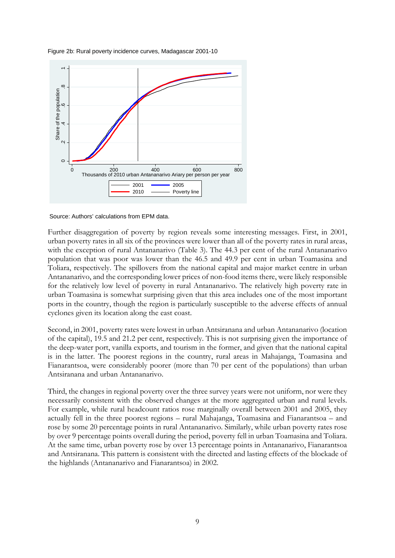



Source: Authors' calculations from EPM data.

Further disaggregation of poverty by region reveals some interesting messages. First, in 2001, urban poverty rates in all six of the provinces were lower than all of the poverty rates in rural areas, with the exception of rural Antananarivo (Table 3). The 44.3 per cent of the rural Antananarivo population that was poor was lower than the 46.5 and 49.9 per cent in urban Toamasina and Toliara, respectively. The spillovers from the national capital and major market centre in urban Antananarivo, and the corresponding lower prices of non-food items there, were likely responsible for the relatively low level of poverty in rural Antananarivo. The relatively high poverty rate in urban Toamasina is somewhat surprising given that this area includes one of the most important ports in the country, though the region is particularly susceptible to the adverse effects of annual cyclones given its location along the east coast.

Second, in 2001, poverty rates were lowest in urban Antsiranana and urban Antananarivo (location of the capital), 19.5 and 21.2 per cent, respectively. This is not surprising given the importance of the deep-water port, vanilla exports, and tourism in the former, and given that the national capital is in the latter. The poorest regions in the country, rural areas in Mahajanga, Toamasina and Fianarantsoa, were considerably poorer (more than 70 per cent of the populations) than urban Antsiranana and urban Antananarivo.

Third, the changes in regional poverty over the three survey years were not uniform, nor were they necessarily consistent with the observed changes at the more aggregated urban and rural levels. For example, while rural headcount ratios rose marginally overall between 2001 and 2005, they actually fell in the three poorest regions – rural Mahajanga, Toamasina and Fianarantsoa – and rose by some 20 percentage points in rural Antananarivo. Similarly, while urban poverty rates rose by over 9 percentage points overall during the period, poverty fell in urban Toamasina and Toliara. At the same time, urban poverty rose by over 13 percentage points in Antananarivo, Fianarantsoa and Antsiranana. This pattern is consistent with the directed and lasting effects of the blockade of the highlands (Antananarivo and Fianarantsoa) in 2002.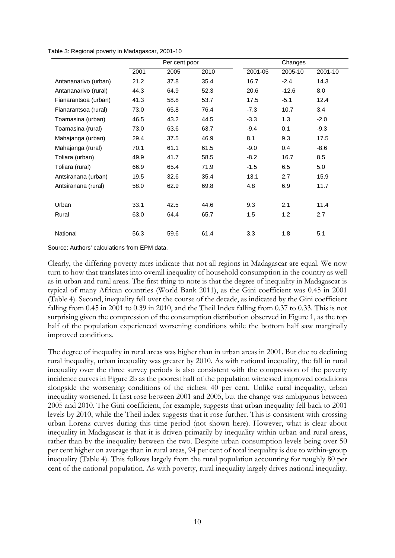|                      |      | Per cent poor |      |         | Changes |         |
|----------------------|------|---------------|------|---------|---------|---------|
|                      | 2001 | 2005          | 2010 | 2001-05 | 2005-10 | 2001-10 |
| Antananarivo (urban) | 21.2 | 37.8          | 35.4 | 16.7    | $-2.4$  | 14.3    |
| Antananarivo (rural) | 44.3 | 64.9          | 52.3 | 20.6    | $-12.6$ | 8.0     |
| Fianarantsoa (urban) | 41.3 | 58.8          | 53.7 | 17.5    | $-5.1$  | 12.4    |
| Fianarantsoa (rural) | 73.0 | 65.8          | 76.4 | $-7.3$  | 10.7    | 3.4     |
| Toamasina (urban)    | 46.5 | 43.2          | 44.5 | $-3.3$  | 1.3     | $-2.0$  |
| Toamasina (rural)    | 73.0 | 63.6          | 63.7 | $-9.4$  | 0.1     | $-9.3$  |
| Mahajanga (urban)    | 29.4 | 37.5          | 46.9 | 8.1     | 9.3     | 17.5    |
| Mahajanga (rural)    | 70.1 | 61.1          | 61.5 | $-9.0$  | 0.4     | $-8.6$  |
| Toliara (urban)      | 49.9 | 41.7          | 58.5 | $-8.2$  | 16.7    | 8.5     |
| Toliara (rural)      | 66.9 | 65.4          | 71.9 | $-1.5$  | 6.5     | 5.0     |
| Antsiranana (urban)  | 19.5 | 32.6          | 35.4 | 13.1    | 2.7     | 15.9    |
| Antsiranana (rural)  | 58.0 | 62.9          | 69.8 | 4.8     | 6.9     | 11.7    |
|                      |      |               |      |         |         |         |
| Urban                | 33.1 | 42.5          | 44.6 | 9.3     | 2.1     | 11.4    |
| Rural                | 63.0 | 64.4          | 65.7 | 1.5     | 1.2     | 2.7     |
|                      |      |               |      |         |         |         |
| National             | 56.3 | 59.6          | 61.4 | 3.3     | 1.8     | 5.1     |

Table 3: Regional poverty in Madagascar, 2001-10

Source: Authors' calculations from EPM data.

Clearly, the differing poverty rates indicate that not all regions in Madagascar are equal. We now turn to how that translates into overall inequality of household consumption in the country as well as in urban and rural areas. The first thing to note is that the degree of inequality in Madagascar is typical of many African countries (World Bank 2011), as the Gini coefficient was 0.45 in 2001 (Table 4). Second, inequality fell over the course of the decade, as indicated by the Gini coefficient falling from 0.45 in 2001 to 0.39 in 2010, and the Theil Index falling from 0.37 to 0.33. This is not surprising given the compression of the consumption distribution observed in Figure 1, as the top half of the population experienced worsening conditions while the bottom half saw marginally improved conditions.

The degree of inequality in rural areas was higher than in urban areas in 2001. But due to declining rural inequality, urban inequality was greater by 2010. As with national inequality, the fall in rural inequality over the three survey periods is also consistent with the compression of the poverty incidence curves in Figure 2b as the poorest half of the population witnessed improved conditions alongside the worsening conditions of the richest 40 per cent. Unlike rural inequality, urban inequality worsened. It first rose between 2001 and 2005, but the change was ambiguous between 2005 and 2010. The Gini coefficient, for example, suggests that urban inequality fell back to 2001 levels by 2010, while the Theil index suggests that it rose further. This is consistent with crossing urban Lorenz curves during this time period (not shown here). However, what is clear about inequality in Madagascar is that it is driven primarily by inequality within urban and rural areas, rather than by the inequality between the two. Despite urban consumption levels being over 50 per cent higher on average than in rural areas, 94 per cent of total inequality is due to within-group inequality (Table 4). This follows largely from the rural population accounting for roughly 80 per cent of the national population. As with poverty, rural inequality largely drives national inequality.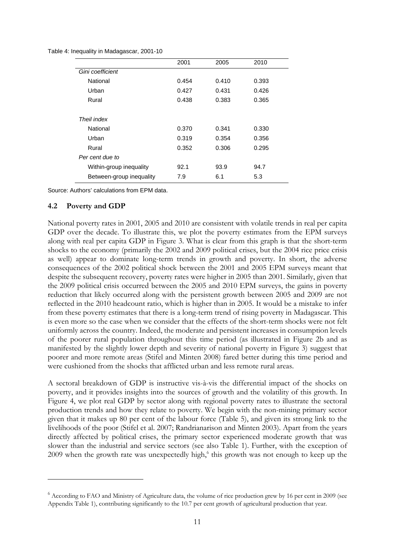|  |  | Table 4: Inequality in Madagascar, 2001-10 |  |
|--|--|--------------------------------------------|--|
|--|--|--------------------------------------------|--|

|                          | 2001  | 2005  | 2010  |
|--------------------------|-------|-------|-------|
| Gini coefficient         |       |       |       |
| National                 | 0.454 | 0.410 | 0.393 |
| Urban                    | 0.427 | 0.431 | 0.426 |
| Rural                    | 0.438 | 0.383 | 0.365 |
|                          |       |       |       |
| Theil index              |       |       |       |
| National                 | 0.370 | 0.341 | 0.330 |
| Urban                    | 0.319 | 0.354 | 0.356 |
| Rural                    | 0.352 | 0.306 | 0.295 |
| Per cent due to          |       |       |       |
| Within-group inequality  | 92.1  | 93.9  | 94.7  |
| Between-group inequality | 7.9   | 6.1   | 5.3   |

Source: Authors' calculations from EPM data.

#### **4.2 Poverty and GDP**

<u>.</u>

National poverty rates in 2001, 2005 and 2010 are consistent with volatile trends in real per capita GDP over the decade. To illustrate this, we plot the poverty estimates from the EPM surveys along with real per capita GDP in Figure 3. What is clear from this graph is that the short-term shocks to the economy (primarily the 2002 and 2009 political crises, but the 2004 rice price crisis as well) appear to dominate long-term trends in growth and poverty. In short, the adverse consequences of the 2002 political shock between the 2001 and 2005 EPM surveys meant that despite the subsequent recovery, poverty rates were higher in 2005 than 2001. Similarly, given that the 2009 political crisis occurred between the 2005 and 2010 EPM surveys, the gains in poverty reduction that likely occurred along with the persistent growth between 2005 and 2009 are not reflected in the 2010 headcount ratio, which is higher than in 2005. It would be a mistake to infer from these poverty estimates that there is a long-term trend of rising poverty in Madagascar. This is even more so the case when we consider that the effects of the short-term shocks were not felt uniformly across the country. Indeed, the moderate and persistent increases in consumption levels of the poorer rural population throughout this time period (as illustrated in Figure 2b and as manifested by the slightly lower depth and severity of national poverty in Figure 3) suggest that poorer and more remote areas (Stifel and Minten 2008) fared better during this time period and were cushioned from the shocks that afflicted urban and less remote rural areas.

A sectoral breakdown of GDP is instructive vis-à-vis the differential impact of the shocks on poverty, and it provides insights into the sources of growth and the volatility of this growth. In Figure 4, we plot real GDP by sector along with regional poverty rates to illustrate the sectoral production trends and how they relate to poverty. We begin with the non-mining primary sector given that it makes up 80 per cent of the labour force (Table 5), and given its strong link to the livelihoods of the poor (Stifel et al. 2007; Randrianarison and Minten 2003). Apart from the years directly affected by political crises, the primary sector experienced moderate growth that was slower than the industrial and service sectors (see also Table 1). Further, with the exception of 2009 when the growth rate was unexpectedly high,<sup>6</sup> this growth was not enough to keep up the

<sup>&</sup>lt;sup>6</sup> According to FAO and Ministry of Agriculture data, the volume of rice production grew by 16 per cent in 2009 (see Appendix Table 1), contributing significantly to the 10.7 per cent growth of agricultural production that year.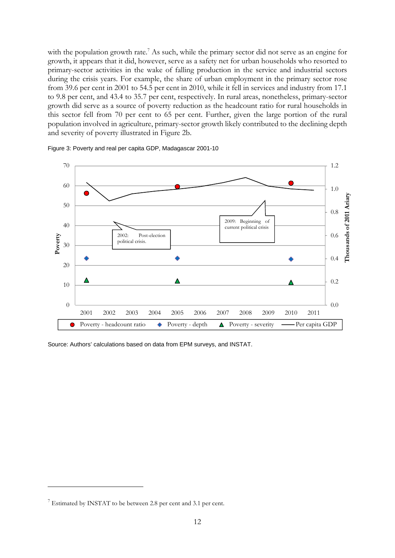with the population growth rate.<sup>7</sup> As such, while the primary sector did not serve as an engine for growth, it appears that it did, however, serve as a safety net for urban households who resorted to primary-sector activities in the wake of falling production in the service and industrial sectors during the crisis years. For example, the share of urban employment in the primary sector rose from 39.6 per cent in 2001 to 54.5 per cent in 2010, while it fell in services and industry from 17.1 to 9.8 per cent, and 43.4 to 35.7 per cent, respectively. In rural areas, nonetheless, primary-sector growth did serve as a source of poverty reduction as the headcount ratio for rural households in this sector fell from 70 per cent to 65 per cent. Further, given the large portion of the rural population involved in agriculture, primary-sector growth likely contributed to the declining depth and severity of poverty illustrated in Figure 2b.





Source: Authors' calculations based on data from EPM surveys, and INSTAT.

<u>.</u>

 $7$  Estimated by INSTAT to be between 2.8 per cent and 3.1 per cent.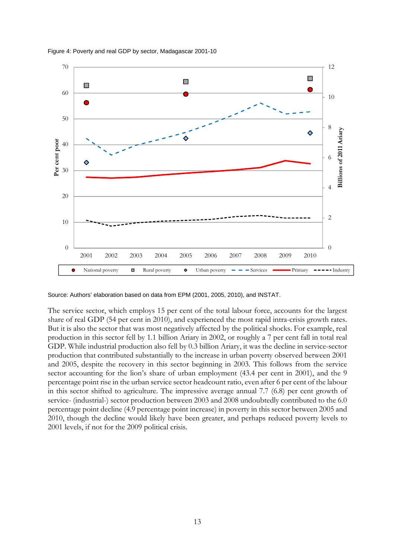

#### Figure 4: Poverty and real GDP by sector, Madagascar 2001-10

Source: Authors' elaboration based on data from EPM (2001, 2005, 2010), and INSTAT.

The service sector, which employs 15 per cent of the total labour force, accounts for the largest share of real GDP (54 per cent in 2010), and experienced the most rapid intra-crisis growth rates. But it is also the sector that was most negatively affected by the political shocks. For example, real production in this sector fell by 1.1 billion Ariary in 2002, or roughly a 7 per cent fall in total real GDP. While industrial production also fell by 0.3 billion Ariary, it was the decline in service-sector production that contributed substantially to the increase in urban poverty observed between 2001 and 2005, despite the recovery in this sector beginning in 2003. This follows from the service sector accounting for the lion's share of urban employment (43.4 per cent in 2001), and the 9 percentage point rise in the urban service sector headcount ratio, even after 6 per cent of the labour in this sector shifted to agriculture. The impressive average annual 7.7 (6.8) per cent growth of service- (industrial-) sector production between 2003 and 2008 undoubtedly contributed to the 6.0 percentage point decline (4.9 percentage point increase) in poverty in this sector between 2005 and 2010, though the decline would likely have been greater, and perhaps reduced poverty levels to 2001 levels, if not for the 2009 political crisis.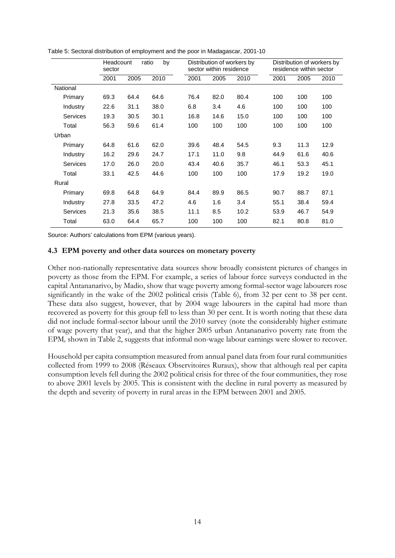|                 | Headcount<br>sector |      | ratio<br>by |      | Distribution of workers by<br>sector within residence |      |      | Distribution of workers by<br>residence within sector |      |
|-----------------|---------------------|------|-------------|------|-------------------------------------------------------|------|------|-------------------------------------------------------|------|
|                 | 2001                | 2005 | 2010        | 2001 | 2005                                                  | 2010 | 2001 | 2005                                                  | 2010 |
| National        |                     |      |             |      |                                                       |      |      |                                                       |      |
| Primary         | 69.3                | 64.4 | 64.6        | 76.4 | 82.0                                                  | 80.4 | 100  | 100                                                   | 100  |
| Industry        | 22.6                | 31.1 | 38.0        | 6.8  | 3.4                                                   | 4.6  | 100  | 100                                                   | 100  |
| Services        | 19.3                | 30.5 | 30.1        | 16.8 | 14.6                                                  | 15.0 | 100  | 100                                                   | 100  |
| Total           | 56.3                | 59.6 | 61.4        | 100  | 100                                                   | 100  | 100  | 100                                                   | 100  |
| Urban           |                     |      |             |      |                                                       |      |      |                                                       |      |
| Primary         | 64.8                | 61.6 | 62.0        | 39.6 | 48.4                                                  | 54.5 | 9.3  | 11.3                                                  | 12.9 |
| Industry        | 16.2                | 29.6 | 24.7        | 17.1 | 11.0                                                  | 9.8  | 44.9 | 61.6                                                  | 40.6 |
| <b>Services</b> | 17.0                | 26.0 | 20.0        | 43.4 | 40.6                                                  | 35.7 | 46.1 | 53.3                                                  | 45.1 |
| Total           | 33.1                | 42.5 | 44.6        | 100  | 100                                                   | 100  | 17.9 | 19.2                                                  | 19.0 |
| Rural           |                     |      |             |      |                                                       |      |      |                                                       |      |
| Primary         | 69.8                | 64.8 | 64.9        | 84.4 | 89.9                                                  | 86.5 | 90.7 | 88.7                                                  | 87.1 |
| Industry        | 27.8                | 33.5 | 47.2        | 4.6  | 1.6                                                   | 3.4  | 55.1 | 38.4                                                  | 59.4 |
| <b>Services</b> | 21.3                | 35.6 | 38.5        | 11.1 | 8.5                                                   | 10.2 | 53.9 | 46.7                                                  | 54.9 |
| Total           | 63.0                | 64.4 | 65.7        | 100  | 100                                                   | 100  | 82.1 | 80.8                                                  | 81.0 |

Table 5: Sectoral distribution of employment and the poor in Madagascar, 2001-10

Source: Authors' calculations from EPM (various years).

#### **4.3 EPM poverty and other data sources on monetary poverty**

Other non-nationally representative data sources show broadly consistent pictures of changes in poverty as those from the EPM. For example, a series of labour force surveys conducted in the capital Antananarivo, by Madio, show that wage poverty among formal-sector wage labourers rose significantly in the wake of the 2002 political crisis (Table 6), from 32 per cent to 38 per cent. These data also suggest, however, that by 2004 wage labourers in the capital had more than recovered as poverty for this group fell to less than 30 per cent. It is worth noting that these data did not include formal-sector labour until the 2010 survey (note the considerably higher estimate of wage poverty that year), and that the higher 2005 urban Antananarivo poverty rate from the EPM*,* shown in Table 2, suggests that informal non-wage labour earnings were slower to recover.

Household per capita consumption measured from annual panel data from four rural communities collected from 1999 to 2008 (Réseaux Observitoires Ruraux), show that although real per capita consumption levels fell during the 2002 political crisis for three of the four communities, they rose to above 2001 levels by 2005. This is consistent with the decline in rural poverty as measured by the depth and severity of poverty in rural areas in the EPM between 2001 and 2005.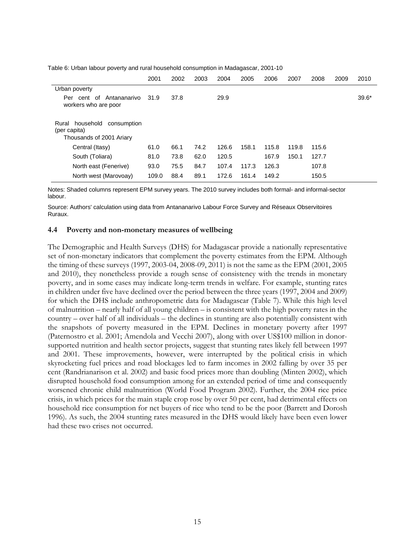|                                                                               | 2001  | 2002 | 2003 | 2004  | 2005  | 2006  | 2007  | 2008  | 2009 | 2010    |
|-------------------------------------------------------------------------------|-------|------|------|-------|-------|-------|-------|-------|------|---------|
| Urban poverty                                                                 |       |      |      |       |       |       |       |       |      |         |
| Antananarivo<br>Per cent of<br>workers who are poor                           | 31.9  | 37.8 |      | 29.9  |       |       |       |       |      | $39.6*$ |
| household<br>consumption<br>Rural<br>(per capita)<br>Thousands of 2001 Ariary |       |      |      |       |       |       |       |       |      |         |
| Central (Itasy)                                                               | 61.0  | 66.1 | 74.2 | 126.6 | 158.1 | 115.8 | 119.8 | 115.6 |      |         |
| South (Toliara)                                                               | 81.0  | 73.8 | 62.0 | 120.5 |       | 167.9 | 150.1 | 127.7 |      |         |
| North east (Fenerive)                                                         | 93.0  | 75.5 | 84.7 | 107.4 | 117.3 | 126.3 |       | 107.8 |      |         |
| North west (Marovoay)                                                         | 109.0 | 88.4 | 89.1 | 172.6 | 161.4 | 149.2 |       | 150.5 |      |         |

Table 6: Urban labour poverty and rural household consumption in Madagascar, 2001-10

Notes: Shaded columns represent EPM survey years. The 2010 survey includes both formal- and informal-sector labour.

Source: Authors' calculation using data from Antananarivo Labour Force Survey and Réseaux Observitoires Ruraux.

#### **4.4 Poverty and non-monetary measures of wellbeing**

The Demographic and Health Surveys (DHS) for Madagascar provide a nationally representative set of non-monetary indicators that complement the poverty estimates from the EPM*.* Although the timing of these surveys (1997, 2003-04, 2008-09, 2011) is not the same as the EPM (2001, 2005 and 2010), they nonetheless provide a rough sense of consistency with the trends in monetary poverty, and in some cases may indicate long-term trends in welfare. For example, stunting rates in children under five have declined over the period between the three years (1997, 2004 and 2009) for which the DHS include anthropometric data for Madagascar (Table 7). While this high level of malnutrition – nearly half of all young children – is consistent with the high poverty rates in the country – over half of all individuals – the declines in stunting are also potentially consistent with the snapshots of poverty measured in the EPM. Declines in monetary poverty after 1997 (Paternostro et al. 2001; Amendola and Vecchi 2007), along with over US\$100 million in donorsupported nutrition and health sector projects, suggest that stunting rates likely fell between 1997 and 2001. These improvements, however, were interrupted by the political crisis in which skyrocketing fuel prices and road blockages led to farm incomes in 2002 falling by over 35 per cent (Randrianarison et al. 2002) and basic food prices more than doubling (Minten 2002), which disrupted household food consumption among for an extended period of time and consequently worsened chronic child malnutrition (World Food Program 2002). Further, the 2004 rice price crisis, in which prices for the main staple crop rose by over 50 per cent, had detrimental effects on household rice consumption for net buyers of rice who tend to be the poor (Barrett and Dorosh 1996). As such, the 2004 stunting rates measured in the DHS would likely have been even lower had these two crises not occurred.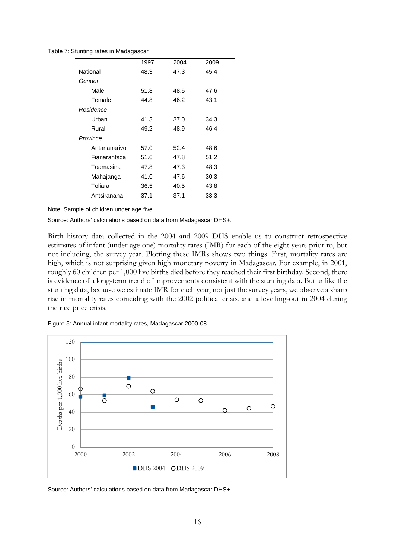Table 7: Stunting rates in Madagascar

|              | 1997 | 2004 | 2009 |
|--------------|------|------|------|
| National     | 48.3 | 47.3 | 45.4 |
| Gender       |      |      |      |
| Male         | 51.8 | 48.5 | 47.6 |
| Female       | 44.8 | 46.2 | 43.1 |
| Residence    |      |      |      |
| Urban        | 41.3 | 37.0 | 34.3 |
| Rural        | 49.2 | 48.9 | 46.4 |
| Province     |      |      |      |
| Antananarivo | 57.0 | 52.4 | 48.6 |
| Fianarantsoa | 51.6 | 47.8 | 51.2 |
| Toamasina    | 47.8 | 47.3 | 48.3 |
| Mahajanga    | 41.0 | 47.6 | 30.3 |
| Toliara      | 36.5 | 40.5 | 43.8 |
| Antsiranana  | 37.1 | 37.1 | 33.3 |
|              |      |      |      |

Note: Sample of children under age five.

Source: Authors' calculations based on data from Madagascar DHS+.

Birth history data collected in the 2004 and 2009 DHS enable us to construct retrospective estimates of infant (under age one) mortality rates (IMR) for each of the eight years prior to, but not including, the survey year. Plotting these IMRs shows two things. First, mortality rates are high, which is not surprising given high monetary poverty in Madagascar. For example, in 2001, roughly 60 children per 1,000 live births died before they reached their first birthday. Second, there is evidence of a long-term trend of improvements consistent with the stunting data. But unlike the stunting data, because we estimate IMR for each year, not just the survey years, we observe a sharp rise in mortality rates coinciding with the 2002 political crisis, and a levelling-out in 2004 during the rice price crisis.





Source: Authors' calculations based on data from Madagascar DHS+.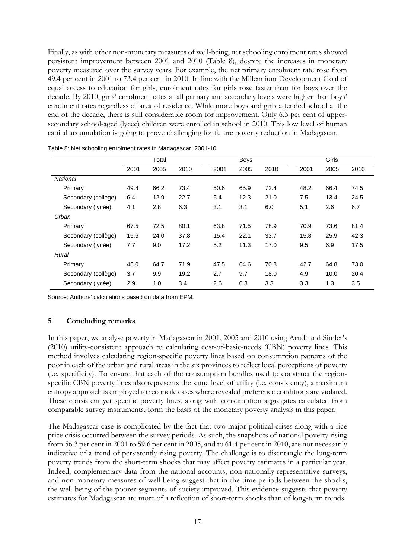Finally, as with other non-monetary measures of well-being, net schooling enrolment rates showed persistent improvement between 2001 and 2010 (Table 8), despite the increases in monetary poverty measured over the survey years. For example, the net primary enrolment rate rose from 49.4 per cent in 2001 to 73.4 per cent in 2010. In line with the Millennium Development Goal of equal access to education for girls, enrolment rates for girls rose faster than for boys over the decade. By 2010, girls' enrolment rates at all primary and secondary levels were higher than boys' enrolment rates regardless of area of residence. While more boys and girls attended school at the end of the decade, there is still considerable room for improvement. Only 6.3 per cent of uppersecondary school-aged (lycée) children were enrolled in school in 2010. This low level of human capital accumulation is going to prove challenging for future poverty reduction in Madagascar.

|                     | Total |      |      |      | <b>Boys</b> |      |      | Girls |      |
|---------------------|-------|------|------|------|-------------|------|------|-------|------|
|                     | 2001  | 2005 | 2010 | 2001 | 2005        | 2010 | 2001 | 2005  | 2010 |
| <b>National</b>     |       |      |      |      |             |      |      |       |      |
| Primary             | 49.4  | 66.2 | 73.4 | 50.6 | 65.9        | 72.4 | 48.2 | 66.4  | 74.5 |
| Secondary (collège) | 6.4   | 12.9 | 22.7 | 5.4  | 12.3        | 21.0 | 7.5  | 13.4  | 24.5 |
| Secondary (lycée)   | 4.1   | 2.8  | 6.3  | 3.1  | 3.1         | 6.0  | 5.1  | 2.6   | 6.7  |
| Urban               |       |      |      |      |             |      |      |       |      |
| Primary             | 67.5  | 72.5 | 80.1 | 63.8 | 71.5        | 78.9 | 70.9 | 73.6  | 81.4 |
| Secondary (collège) | 15.6  | 24.0 | 37.8 | 15.4 | 22.1        | 33.7 | 15.8 | 25.9  | 42.3 |
| Secondary (lycée)   | 7.7   | 9.0  | 17.2 | 5.2  | 11.3        | 17.0 | 9.5  | 6.9   | 17.5 |
| Rural               |       |      |      |      |             |      |      |       |      |
| Primary             | 45.0  | 64.7 | 71.9 | 47.5 | 64.6        | 70.8 | 42.7 | 64.8  | 73.0 |
| Secondary (collège) | 3.7   | 9.9  | 19.2 | 2.7  | 9.7         | 18.0 | 4.9  | 10.0  | 20.4 |
| Secondary (lycée)   | 2.9   | 1.0  | 3.4  | 2.6  | 0.8         | 3.3  | 3.3  | 1.3   | 3.5  |

Table 8: Net schooling enrolment rates in Madagascar, 2001-10

Source: Authors' calculations based on data from EPM*.* 

#### **5 Concluding remarks**

In this paper, we analyse poverty in Madagascar in 2001, 2005 and 2010 using Arndt and Simler's (2010) utility-consistent approach to calculating cost-of-basic-needs (CBN) poverty lines. This method involves calculating region-specific poverty lines based on consumption patterns of the poor in each of the urban and rural areas in the six provinces to reflect local perceptions of poverty (i.e. specificity). To ensure that each of the consumption bundles used to construct the regionspecific CBN poverty lines also represents the same level of utility (i.e. consistency), a maximum entropy approach is employed to reconcile cases where revealed preference conditions are violated. These consistent yet specific poverty lines, along with consumption aggregates calculated from comparable survey instruments, form the basis of the monetary poverty analysis in this paper.

The Madagascar case is complicated by the fact that two major political crises along with a rice price crisis occurred between the survey periods. As such, the snapshots of national poverty rising from 56.3 per cent in 2001 to 59.6 per cent in 2005, and to 61.4 per cent in 2010, are not necessarily indicative of a trend of persistently rising poverty. The challenge is to disentangle the long-term poverty trends from the short-term shocks that may affect poverty estimates in a particular year. Indeed, complementary data from the national accounts, non-nationally-representative surveys, and non-monetary measures of well-being suggest that in the time periods between the shocks, the well-being of the poorer segments of society improved. This evidence suggests that poverty estimates for Madagascar are more of a reflection of short-term shocks than of long-term trends.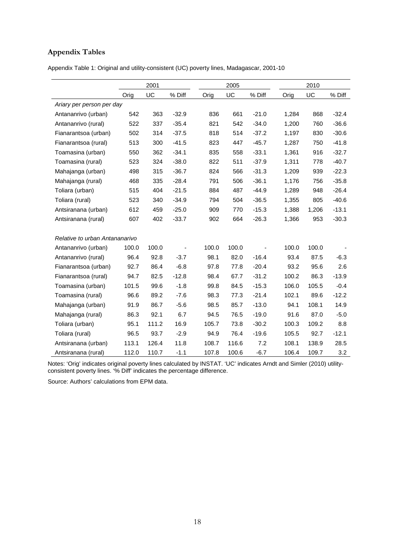## **Appendix Tables**

Appendix Table 1: Original and utility-consistent (UC) poverty lines, Madagascar, 2001-10

|                                | 2001  |       |         |       | 2005  |         |       | 2010  |         |
|--------------------------------|-------|-------|---------|-------|-------|---------|-------|-------|---------|
|                                | Orig  | UC    | % Diff  | Orig  | UC    | % Diff  | Orig  | UC    | % Diff  |
| Ariary per person per day      |       |       |         |       |       |         |       |       |         |
| Antananrivo (urban)            | 542   | 363   | $-32.9$ | 836   | 661   | $-21.0$ | 1,284 | 868   | $-32.4$ |
| Antananrivo (rural)            | 522   | 337   | $-35.4$ | 821   | 542   | $-34.0$ | 1,200 | 760   | $-36.6$ |
| Fianarantsoa (urban)           | 502   | 314   | $-37.5$ | 818   | 514   | $-37.2$ | 1,197 | 830   | $-30.6$ |
| Fianarantsoa (rural)           | 513   | 300   | $-41.5$ | 823   | 447   | $-45.7$ | 1,287 | 750   | $-41.8$ |
| Toamasina (urban)              | 550   | 362   | $-34.1$ | 835   | 558   | $-33.1$ | 1,361 | 916   | $-32.7$ |
| Toamasina (rural)              | 523   | 324   | $-38.0$ | 822   | 511   | $-37.9$ | 1,311 | 778   | $-40.7$ |
| Mahajanga (urban)              | 498   | 315   | $-36.7$ | 824   | 566   | $-31.3$ | 1,209 | 939   | $-22.3$ |
| Mahajanga (rural)              | 468   | 335   | $-28.4$ | 791   | 506   | $-36.1$ | 1,176 | 756   | $-35.8$ |
| Toliara (urban)                | 515   | 404   | $-21.5$ | 884   | 487   | $-44.9$ | 1,289 | 948   | $-26.4$ |
| Toliara (rural)                | 523   | 340   | $-34.9$ | 794   | 504   | $-36.5$ | 1,355 | 805   | $-40.6$ |
| Antsiranana (urban)            | 612   | 459   | $-25.0$ | 909   | 770   | $-15.3$ | 1,388 | 1,206 | $-13.1$ |
| Antsiranana (rural)            | 607   | 402   | $-33.7$ | 902   | 664   | $-26.3$ | 1,366 | 953   | $-30.3$ |
| Relative to urban Antananarivo |       |       |         |       |       |         |       |       |         |
| Antananrivo (urban)            | 100.0 | 100.0 |         | 100.0 | 100.0 |         | 100.0 | 100.0 |         |
| Antananrivo (rural)            | 96.4  | 92.8  | $-3.7$  | 98.1  | 82.0  | $-16.4$ | 93.4  | 87.5  | $-6.3$  |
| Fianarantsoa (urban)           | 92.7  | 86.4  | $-6.8$  | 97.8  | 77.8  | $-20.4$ | 93.2  | 95.6  | 2.6     |
| Fianarantsoa (rural)           | 94.7  | 82.5  | $-12.8$ | 98.4  | 67.7  | $-31.2$ | 100.2 | 86.3  | $-13.9$ |
| Toamasina (urban)              | 101.5 | 99.6  | $-1.8$  | 99.8  | 84.5  | $-15.3$ | 106.0 | 105.5 | $-0.4$  |
| Toamasina (rural)              | 96.6  | 89.2  | $-7.6$  | 98.3  | 77.3  | $-21.4$ | 102.1 | 89.6  | $-12.2$ |
| Mahajanga (urban)              | 91.9  | 86.7  | $-5.6$  | 98.5  | 85.7  | $-13.0$ | 94.1  | 108.1 | 14.9    |
| Mahajanga (rural)              | 86.3  | 92.1  | 6.7     | 94.5  | 76.5  | $-19.0$ | 91.6  | 87.0  | $-5.0$  |
| Toliara (urban)                | 95.1  | 111.2 | 16.9    | 105.7 | 73.8  | $-30.2$ | 100.3 | 109.2 | 8.8     |
| Toliara (rural)                | 96.5  | 93.7  | $-2.9$  | 94.9  | 76.4  | $-19.6$ | 105.5 | 92.7  | $-12.1$ |
| Antsiranana (urban)            | 113.1 | 126.4 | 11.8    | 108.7 | 116.6 | 7.2     | 108.1 | 138.9 | 28.5    |
| Antsiranana (rural)            | 112.0 | 110.7 | $-1.1$  | 107.8 | 100.6 | $-6.7$  | 106.4 | 109.7 | 3.2     |

Notes: 'Orig' indicates original poverty lines calculated by INSTAT. 'UC' indicates Arndt and Simler (2010) utilityconsistent poverty lines. '% Diff' indicates the percentage difference.

Source: Authors' calculations from EPM data.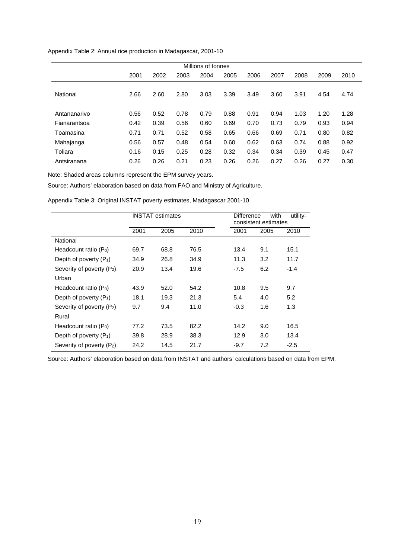Appendix Table 2: Annual rice production in Madagascar, 2001-10

| Millions of tonnes |      |      |      |      |      |      |      |      |      |      |  |  |
|--------------------|------|------|------|------|------|------|------|------|------|------|--|--|
|                    | 2001 | 2002 | 2003 | 2004 | 2005 | 2006 | 2007 | 2008 | 2009 | 2010 |  |  |
| National           | 2.66 | 2.60 | 2.80 | 3.03 | 3.39 | 3.49 | 3.60 | 3.91 | 4.54 | 4.74 |  |  |
| Antananarivo       | 0.56 | 0.52 | 0.78 | 0.79 | 0.88 | 0.91 | 0.94 | 1.03 | 1.20 | 1.28 |  |  |
| Fianarantsoa       | 0.42 | 0.39 | 0.56 | 0.60 | 0.69 | 0.70 | 0.73 | 0.79 | 0.93 | 0.94 |  |  |
| Toamasina          | 0.71 | 0.71 | 0.52 | 0.58 | 0.65 | 0.66 | 0.69 | 0.71 | 0.80 | 0.82 |  |  |
| Mahajanga          | 0.56 | 0.57 | 0.48 | 0.54 | 0.60 | 0.62 | 0.63 | 0.74 | 0.88 | 0.92 |  |  |
| Toliara            | 0.16 | 0.15 | 0.25 | 0.28 | 0.32 | 0.34 | 0.34 | 0.39 | 0.45 | 0.47 |  |  |
| Antsiranana        | 0.26 | 0.26 | 0.21 | 0.23 | 0.26 | 0.26 | 0.27 | 0.26 | 0.27 | 0.30 |  |  |

Note: Shaded areas columns represent the EPM survey years.

Source: Authors' elaboration based on data from FAO and Ministry of Agriculture.

Appendix Table 3: Original INSTAT poverty estimates, Madagascar 2001-10

|                                       |      | <b>INSTAT estimates</b> |      | <b>Difference</b><br>consistent estimates | utility- |        |
|---------------------------------------|------|-------------------------|------|-------------------------------------------|----------|--------|
|                                       | 2001 | 2005                    | 2010 | 2001                                      | 2005     | 2010   |
| National                              |      |                         |      |                                           |          |        |
| Headcount ratio $(P_0)$               | 69.7 | 68.8                    | 76.5 | 13.4                                      | 9.1      | 15.1   |
| Depth of poverty $(P_1)$              | 34.9 | 26.8                    | 34.9 | 11.3                                      | 3.2      | 11.7   |
| Severity of poverty $(P_2)$           | 20.9 | 13.4                    | 19.6 | $-7.5$                                    | 6.2      | $-1.4$ |
| Urban                                 |      |                         |      |                                           |          |        |
| Headcount ratio $(P_0)$               | 43.9 | 52.0                    | 54.2 | 10.8                                      | 9.5      | 9.7    |
| Depth of poverty $(P_1)$              | 18.1 | 19.3                    | 21.3 | 5.4                                       | 4.0      | 5.2    |
| Severity of poverty $(P_2)$           | 9.7  | 9.4                     | 11.0 | $-0.3$                                    | 1.6      | 1.3    |
| Rural                                 |      |                         |      |                                           |          |        |
| Headcount ratio $(P_0)$               | 77.2 | 73.5                    | 82.2 | 14.2                                      | 9.0      | 16.5   |
| Depth of poverty $(P_1)$              | 39.8 | 28.9                    | 38.3 | 12.9                                      | 3.0      | 13.4   |
| Severity of poverty (P <sub>2</sub> ) | 24.2 | 14.5                    | 21.7 | $-9.7$                                    | 7.2      | $-2.5$ |

Source: Authors' elaboration based on data from INSTAT and authors' calculations based on data from EPM.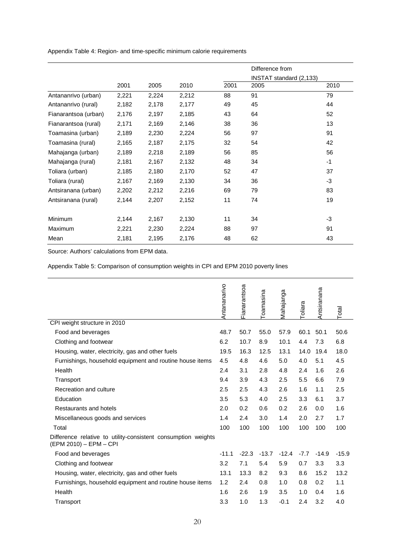Appendix Table 4: Region- and time-specific minimum calorie requirements

|                      |       |       |       |      | Difference from<br>INSTAT standard (2,133) |      |
|----------------------|-------|-------|-------|------|--------------------------------------------|------|
|                      | 2001  | 2005  | 2010  | 2001 | 2005                                       | 2010 |
| Antananrivo (urban)  | 2,221 | 2,224 | 2,212 | 88   | 91                                         | 79   |
| Antananrivo (rural)  | 2,182 | 2,178 | 2,177 | 49   | 45                                         | 44   |
| Fianarantsoa (urban) | 2,176 | 2,197 | 2,185 | 43   | 64                                         | 52   |
| Fianarantsoa (rural) | 2,171 | 2,169 | 2,146 | 38   | 36                                         | 13   |
| Toamasina (urban)    | 2,189 | 2,230 | 2,224 | 56   | 97                                         | 91   |
| Toamasina (rural)    | 2,165 | 2,187 | 2,175 | 32   | 54                                         | 42   |
| Mahajanga (urban)    | 2,189 | 2,218 | 2,189 | 56   | 85                                         | 56   |
| Mahajanga (rural)    | 2,181 | 2,167 | 2,132 | 48   | 34                                         | $-1$ |
| Toliara (urban)      | 2,185 | 2,180 | 2,170 | 52   | 47                                         | 37   |
| Toliara (rural)      | 2,167 | 2,169 | 2,130 | 34   | 36                                         | -3   |
| Antsiranana (urban)  | 2,202 | 2,212 | 2,216 | 69   | 79                                         | 83   |
| Antsiranana (rural)  | 2,144 | 2,207 | 2,152 | 11   | 74                                         | 19   |
| <b>Minimum</b>       | 2,144 | 2,167 | 2,130 | 11   | 34                                         | -3   |
| Maximum              | 2,221 | 2,230 | 2,224 | 88   | 97                                         | 91   |
| Mean                 | 2,181 | 2,195 | 2,176 | 48   | 62                                         | 43   |

Source: Authors' calculations from EPM data.

Appendix Table 5: Comparison of consumption weights in CPI and EPM 2010 poverty lines

|                                                                                         | Antananarivo | Fianarantsoa | Toamasina | Mahajanga | Toliara | Antsiranana | Total   |
|-----------------------------------------------------------------------------------------|--------------|--------------|-----------|-----------|---------|-------------|---------|
| CPI weight structure in 2010                                                            |              |              |           |           |         |             |         |
| Food and beverages                                                                      | 48.7         | 50.7         | 55.0      | 57.9      | 60.1    | 50.1        | 50.6    |
| Clothing and footwear                                                                   | 6.2          | 10.7         | 8.9       | 10.1      | 4.4     | 7.3         | 6.8     |
| Housing, water, electricity, gas and other fuels                                        | 19.5         | 16.3         | 12.5      | 13.1      | 14.0    | 19.4        | 18.0    |
| Furnishings, household equipment and routine house items                                | 4.5          | 4.8          | 4.6       | 5.0       | 4.0     | 5.1         | 4.5     |
| Health                                                                                  | 2.4          | 3.1          | 2.8       | 4.8       | 2.4     | 1.6         | 2.6     |
| Transport                                                                               | 9.4          | 3.9          | 4.3       | 2.5       | 5.5     | 6.6         | 7.9     |
| Recreation and culture                                                                  | 2.5          | 2.5          | 4.3       | 2.6       | 1.6     | 1.1         | 2.5     |
| Education                                                                               | 3.5          | 5.3          | 4.0       | 2.5       | 3.3     | 6.1         | 3.7     |
| Restaurants and hotels                                                                  | 2.0          | 0.2          | 0.6       | 0.2       | 2.6     | 0.0         | 1.6     |
| Miscellaneous goods and services                                                        |              | 2.4          | 3.0       | 1.4       | 2.0     | 2.7         | 1.7     |
| Total                                                                                   | 100          | 100          | 100       | 100       | 100     | 100         | 100     |
| Difference relative to utility-consistent consumption weights<br>(EPM 2010) - EPM - CPI |              |              |           |           |         |             |         |
| Food and beverages                                                                      | $-11.1$      | $-22.3$      | $-13.7$   | $-12.4$   | $-7.7$  | $-14.9$     | $-15.9$ |
| Clothing and footwear                                                                   | 3.2          | 7.1          | 5.4       | 5.9       | 0.7     | 3.3         | 3.3     |
| Housing, water, electricity, gas and other fuels                                        | 13.1         | 13.3         | 8.2       | 9.3       | 8.6     | 15.2        | 13.2    |
| Furnishings, household equipment and routine house items                                | 1.2          | 2.4          | 0.8       | 1.0       | 0.8     | 0.2         | 1.1     |
| Health                                                                                  | 1.6          | 2.6          | 1.9       | 3.5       | 1.0     | 0.4         | 1.6     |
| Transport                                                                               | 3.3          | 1.0          | 1.3       | $-0.1$    | 2.4     | 3.2         | 4.0     |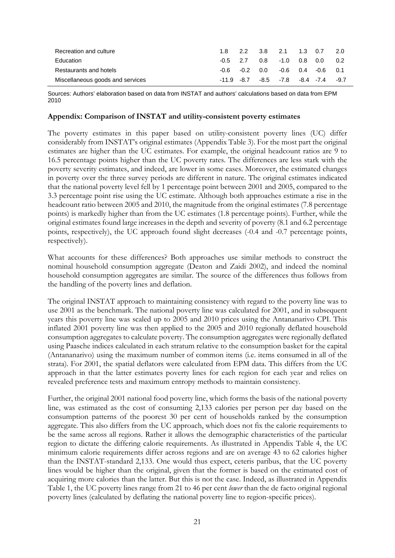| Recreation and culture           |               | 1.8 2.2 3.8 2.1 1.3 0.7                 |     | 2.0   |
|----------------------------------|---------------|-----------------------------------------|-----|-------|
| Education                        | $-0.5$ 2.7    | $0.8$ -1.0 0.8                          | 0.0 | - 0.2 |
| Restaurants and hotels           |               | $-0.6$ $-0.2$ $0.0$ $-0.6$ $0.4$ $-0.6$ |     | 0.1   |
| Miscellaneous goods and services | $-11.9 - 8.7$ | $-8.5$ $-7.8$ $-8.4$ $-7.4$ $-9.7$      |     |       |

Sources: Authors' elaboration based on data from INSTAT and authors' calculations based on data from EPM 2010

#### **Appendix: Comparison of INSTAT and utility-consistent poverty estimates**

The poverty estimates in this paper based on utility-consistent poverty lines (UC) differ considerably from INSTAT's original estimates (Appendix Table 3). For the most part the original estimates are higher than the UC estimates. For example, the original headcount ratios are 9 to 16.5 percentage points higher than the UC poverty rates. The differences are less stark with the poverty severity estimates, and indeed, are lower in some cases. Moreover, the estimated changes in poverty over the three survey periods are different in nature. The original estimates indicated that the national poverty level fell by 1 percentage point between 2001 and 2005, compared to the 3.3 percentage point rise using the UC estimate. Although both approaches estimate a rise in the headcount ratio between 2005 and 2010, the magnitude from the original estimates (7.8 percentage points) is markedly higher than from the UC estimates (1.8 percentage points). Further, while the original estimates found large increases in the depth and severity of poverty (8.1 and 6.2 percentage points, respectively), the UC approach found slight decreases (-0.4 and -0.7 percentage points, respectively).

What accounts for these differences? Both approaches use similar methods to construct the nominal household consumption aggregate (Deaton and Zaidi 2002), and indeed the nominal household consumption aggregates are similar. The source of the differences thus follows from the handling of the poverty lines and deflation.

The original INSTAT approach to maintaining consistency with regard to the poverty line was to use 2001 as the benchmark. The national poverty line was calculated for 2001, and in subsequent years this poverty line was scaled up to 2005 and 2010 prices using the Antananarivo CPI. This inflated 2001 poverty line was then applied to the 2005 and 2010 regionally deflated household consumption aggregates to calculate poverty. The consumption aggregates were regionally deflated using Paasche indices calculated in each stratum relative to the consumption basket for the capital (Antananarivo) using the maximum number of common items (i.e. items consumed in all of the strata). For 2001, the spatial deflators were calculated from EPM data. This differs from the UC approach in that the latter estimates poverty lines for each region for each year and relies on revealed preference tests and maximum entropy methods to maintain consistency.

Further, the original 2001 national food poverty line, which forms the basis of the national poverty line, was estimated as the cost of consuming 2,133 calories per person per day based on the consumption patterns of the poorest 30 per cent of households ranked by the consumption aggregate. This also differs from the UC approach, which does not fix the calorie requirements to be the same across all regions. Rather it allows the demographic characteristics of the particular region to dictate the differing calorie requirements. As illustrated in Appendix Table 4, the UC minimum calorie requirements differ across regions and are on average 43 to 62 calories higher than the INSTAT-standard 2,133. One would thus expect, ceteris paribus, that the UC poverty lines would be higher than the original, given that the former is based on the estimated cost of acquiring more calories than the latter. But this is not the case. Indeed, as illustrated in Appendix Table 1, the UC poverty lines range from 21 to 46 per cent *lower* than the de facto original regional poverty lines (calculated by deflating the national poverty line to region-specific prices).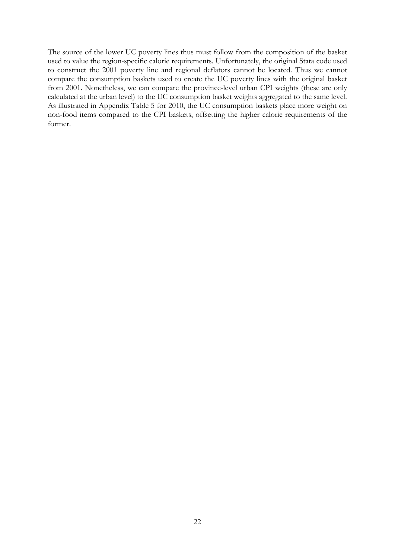The source of the lower UC poverty lines thus must follow from the composition of the basket used to value the region-specific calorie requirements. Unfortunately, the original Stata code used to construct the 2001 poverty line and regional deflators cannot be located. Thus we cannot compare the consumption baskets used to create the UC poverty lines with the original basket from 2001. Nonetheless, we can compare the province-level urban CPI weights (these are only calculated at the urban level) to the UC consumption basket weights aggregated to the same level. As illustrated in Appendix Table 5 for 2010, the UC consumption baskets place more weight on non-food items compared to the CPI baskets, offsetting the higher calorie requirements of the former.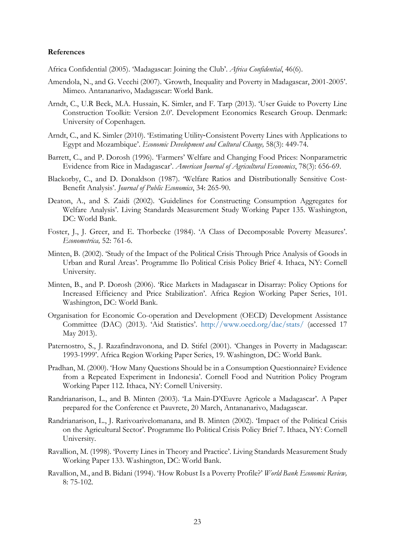#### **References**

Africa Confidential (2005). 'Madagascar: Joining the Club'. *Africa Confidential*, 46(6).

- Amendola, N., and G. Vecchi (2007). 'Growth, Inequality and Poverty in Madagascar, 2001-2005'. Mimeo. Antananarivo, Madagascar: World Bank.
- Arndt, C., U.R Beck, M.A. Hussain, K. Simler, and F. Tarp (2013). 'User Guide to Poverty Line Construction Toolkit: Version 2.0'. Development Economics Research Group. Denmark: University of Copenhagen.
- Arndt, C., and K. Simler (2010). 'Estimating Utility‐Consistent Poverty Lines with Applications to Egypt and Mozambique'. *Economic Development and Cultural Change,* 58(3): 449-74.
- Barrett, C., and P. Dorosh (1996). 'Farmers' Welfare and Changing Food Prices: Nonparametric Evidence from Rice in Madagascar'. *American Journal of Agricultural Economics*, 78(3): 656-69.
- Blackorby, C., and D. Donaldson (1987). 'Welfare Ratios and Distributionally Sensitive Cost-Benefit Analysis'. *Journal of Public Economics*, 34: 265-90.
- Deaton, A., and S. Zaidi (2002). 'Guidelines for Constructing Consumption Aggregates for Welfare Analysis'. Living Standards Measurement Study Working Paper 135. Washington, DC: World Bank.
- Foster, J., J. Greer, and E. Thorbecke (1984). 'A Class of Decomposable Poverty Measures'. *Econometrica,* 52: 761-6.
- Minten, B. (2002). 'Study of the Impact of the Political Crisis Through Price Analysis of Goods in Urban and Rural Areas'. Programme Ilo Political Crisis Policy Brief 4. Ithaca, NY: Cornell University.
- Minten, B., and P. Dorosh (2006). 'Rice Markets in Madagascar in Disarray: Policy Options for Increased Efficiency and Price Stabilization'. Africa Region Working Paper Series, 101. Washington, DC: World Bank.
- Organisation for Economic Co-operation and Development (OECD) Development Assistance Committee (DAC) (2013). 'Aid Statistics'. http://www.oecd.org/dac/stats/ (accessed 17 May 2013).
- Paternostro, S., J. Razafindravonona, and D. Stifel (2001). 'Changes in Poverty in Madagascar: 1993-1999'. Africa Region Working Paper Series, 19. Washington, DC: World Bank.
- Pradhan, M. (2000). 'How Many Questions Should be in a Consumption Questionnaire? Evidence from a Repeated Experiment in Indonesia'. Cornell Food and Nutrition Policy Program Working Paper 112. Ithaca, NY: Cornell University.
- Randrianarison, L., and B. Minten (2003). 'La Main-D'Œuvre Agricole a Madagascar'. A Paper prepared for the Conference et Pauvrete, 20 March, Antananarivo, Madagascar.
- Randrianarison, L., J. Rarivoarivelomanana, and B. Minten (2002). 'Impact of the Political Crisis on the Agricultural Sector'. Programme Ilo Political Crisis Policy Brief 7. Ithaca, NY: Cornell University.
- Ravallion, M. (1998). 'Poverty Lines in Theory and Practice'. Living Standards Measurement Study Working Paper 133. Washington, DC: World Bank.
- Ravallion, M., and B. Bidani (1994). 'How Robust Is a Poverty Profile?' *World Bank Economic Review,* 8: 75-102.